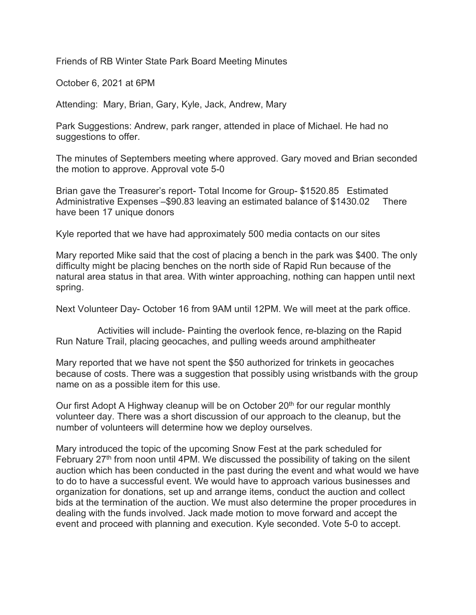Friends of RB Winter State Park Board Meeting Minutes

October 6, 2021 at 6PM

Attending: Mary, Brian, Gary, Kyle, Jack, Andrew, Mary

Park Suggestions: Andrew, park ranger, attended in place of Michael. He had no suggestions to offer.

The minutes of Septembers meeting where approved. Gary moved and Brian seconded the motion to approve. Approval vote 5-0

Brian gave the Treasurer's report- Total Income for Group- \$1520.85 Estimated Administrative Expenses –\$90.83 leaving an estimated balance of \$1430.02 There have been 17 unique donors

Kyle reported that we have had approximately 500 media contacts on our sites

Mary reported Mike said that the cost of placing a bench in the park was \$400. The only difficulty might be placing benches on the north side of Rapid Run because of the natural area status in that area. With winter approaching, nothing can happen until next spring.

Next Volunteer Day- October 16 from 9AM until 12PM. We will meet at the park office.

 Activities will include- Painting the overlook fence, re-blazing on the Rapid Run Nature Trail, placing geocaches, and pulling weeds around amphitheater

Mary reported that we have not spent the \$50 authorized for trinkets in geocaches because of costs. There was a suggestion that possibly using wristbands with the group name on as a possible item for this use.

Our first Adopt A Highway cleanup will be on October 20<sup>th</sup> for our regular monthly volunteer day. There was a short discussion of our approach to the cleanup, but the number of volunteers will determine how we deploy ourselves.

Mary introduced the topic of the upcoming Snow Fest at the park scheduled for February  $27<sup>th</sup>$  from noon until 4PM. We discussed the possibility of taking on the silent auction which has been conducted in the past during the event and what would we have to do to have a successful event. We would have to approach various businesses and organization for donations, set up and arrange items, conduct the auction and collect bids at the termination of the auction. We must also determine the proper procedures in dealing with the funds involved. Jack made motion to move forward and accept the event and proceed with planning and execution. Kyle seconded. Vote 5-0 to accept.